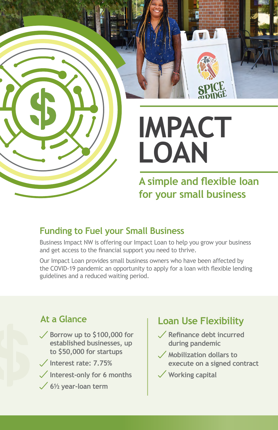

## **Funding to Fuel your Small Business**

Business Impact NW is offering our Impact Loan to help you grow your business and get access to the financial support you need to thrive.

Our Impact Loan provides small business owners who have been affected by the COVID-19 pandemic an opportunity to apply for a loan with flexible lending guidelines and a reduced waiting period.

## **At a Glance**

- **Borrow up to \$100,000 for established businesses, up to \$50,000 for startups**
- **Interest rate: 7.75%**
- **Interest-only for 6 months**
- **6½ year-loan term**

## **Loan Use Flexibility**

- **Refinance debt incurred during pandemic**
- **Mobilization dollars to execute on a signed contract**
- **Working capital**